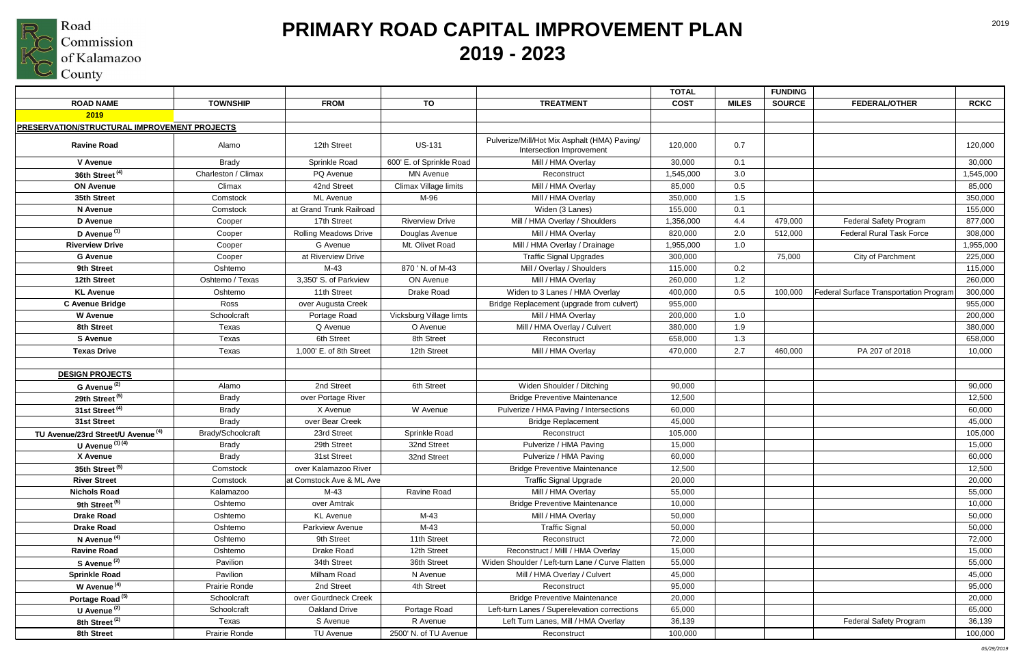

| <b>TOTAL</b>                                                                                                                                              | <b>FUNDING</b>                                    |             |
|-----------------------------------------------------------------------------------------------------------------------------------------------------------|---------------------------------------------------|-------------|
| <b>ROAD NAME</b><br><b>TOWNSHIP</b><br>TO<br><b>TREATMENT</b><br><b>MILES</b><br><b>FROM</b><br><b>COST</b>                                               | <b>SOURCE</b><br><b>FEDERAL/OTHER</b>             | <b>RCKC</b> |
| 2019                                                                                                                                                      |                                                   |             |
| <b>PRESERVATION/STRUCTURAL IMPROVEMENT PROJECTS</b>                                                                                                       |                                                   |             |
| Pulverize/Mill/Hot Mix Asphalt (HMA) Paving/<br><b>US-131</b><br><b>Ravine Road</b><br>12th Street<br>120,000<br>0.7<br>Alamo<br>Intersection Improvement |                                                   | 120,000     |
| 600' E. of Sprinkle Road<br><b>V</b> Avenue<br><b>Brady</b><br>Sprinkle Road<br>Mill / HMA Overlay<br>30,000<br>0.1                                       |                                                   | 30,000      |
| 36th Street <sup>(4)</sup><br>Charleston / Climax<br>PQ Avenue<br>3.0<br><b>MN Avenue</b><br>Reconstruct<br>1,545,000                                     |                                                   | 1,545,000   |
| Climax Village limits<br><b>ON Avenue</b><br>Climax<br>42nd Street<br>Mill / HMA Overlay<br>0.5<br>85,000                                                 |                                                   | 85,000      |
| 35th Street<br>M-96<br>1.5<br>Comstock<br><b>ML</b> Avenue<br>Mill / HMA Overlay<br>350,000                                                               |                                                   | 350,000     |
| at Grand Trunk Railroad<br>N Avenue<br>Widen (3 Lanes)<br>155,000<br>0.1<br>Comstock                                                                      |                                                   | 155,000     |
| D Avenue<br>17th Street<br>Mill / HMA Overlay / Shoulders<br><b>Riverview Drive</b><br>1,356,000<br>4.4<br>Cooper                                         | 479,000<br><b>Federal Safety Program</b>          | 877,000     |
| D Avenue <sup>(1)</sup><br>Mill / HMA Overlay<br><b>Rolling Meadows Drive</b><br>2.0<br>Cooper<br>Douglas Avenue<br>820,000                               | <b>Federal Rural Task Force</b><br>512,000        | 308,000     |
| <b>Riverview Drive</b><br>G Avenue<br>Mt. Olivet Road<br>Mill / HMA Overlay / Drainage<br>1.0<br>Cooper<br>1,955,000                                      |                                                   | 1,955,000   |
| <b>G</b> Avenue<br>at Riverview Drive<br><b>Traffic Signal Upgrades</b><br>300,000<br>Cooper                                                              | 75,000<br>City of Parchment                       | 225,000     |
| 870 ' N. of M-43<br>9th Street<br>Oshtemo<br>M-43<br>Mill / Overlay / Shoulders<br>0.2<br>115,000                                                         |                                                   | 115,000     |
| Mill / HMA Overlay<br>12th Street<br>Oshtemo / Texas<br>3,350' S. of Parkview<br>ON Avenue<br>260,000<br>1.2                                              |                                                   | 260,000     |
| <b>KL Avenue</b><br>11th Street<br>Oshtemo<br>Drake Road<br>Widen to 3 Lanes / HMA Overlay<br>400,000<br>0.5                                              | Federal Surface Transportation Program<br>100,000 | 300,000     |
| <b>C Avenue Bridge</b><br>Ross<br>over Augusta Creek<br>955,000<br>Bridge Replacement (upgrade from culvert)                                              |                                                   | 955,000     |
| Vicksburg Village limts<br><b>W</b> Avenue<br>Schoolcraft<br>Mill / HMA Overlay<br>200,000<br>1.0<br>Portage Road                                         |                                                   | 200,000     |
| 8th Street<br>Mill / HMA Overlay / Culvert<br>Texas<br>Q Avenue<br>O Avenue<br>380,000<br>1.9                                                             |                                                   | 380,000     |
| <b>S</b> Avenue<br>Texas<br>6th Street<br>8th Street<br>Reconstruct<br>658,000<br>1.3                                                                     |                                                   | 658,000     |
| <b>Texas Drive</b><br>Texas<br>1,000' E. of 8th Street<br>12th Street<br>Mill / HMA Overlay<br>2.7<br>470,000                                             | PA 207 of 2018<br>460,000                         | 10,000      |
|                                                                                                                                                           |                                                   |             |
| <b>DESIGN PROJECTS</b>                                                                                                                                    |                                                   |             |
| G Avenue <sup>(2)</sup><br>2nd Street<br>6th Street<br>Widen Shoulder / Ditching<br>90,000<br>Alamo                                                       |                                                   | 90,000      |
| 29th Street <sup>(5)</sup><br><b>Brady</b><br>over Portage River<br><b>Bridge Preventive Maintenance</b><br>12,500                                        |                                                   | 12,500      |
| 31st Street <sup>(4)</sup><br>X Avenue<br>Pulverize / HMA Paving / Intersections<br><b>Brady</b><br>W Avenue<br>60,000                                    |                                                   | 60,000      |
| 31st Street<br>over Bear Creek<br><b>Brady</b><br><b>Bridge Replacement</b><br>45,000                                                                     |                                                   | 45,000      |
| TU Avenue/23rd Street/U Avenue (4)<br>Sprinkle Road<br>Brady/Schoolcraft<br>23rd Street<br>Reconstruct<br>105,000                                         |                                                   | 105,000     |
| <b>U</b> Avenue $(1)$ $(4)$<br>29th Street<br>32nd Street<br>Pulverize / HMA Paving<br><b>Brady</b><br>15,000                                             |                                                   | 15,000      |
| X Avenue<br><b>Brady</b><br>31st Street<br>Pulverize / HMA Paving<br>60,000<br>32nd Street                                                                |                                                   | 60,000      |
| 35th Street <sup>(5)</sup><br>over Kalamazoo River<br><b>Bridge Preventive Maintenance</b><br>12,500<br>Comstock                                          |                                                   | 12,500      |
| <b>River Street</b><br>at Comstock Ave & ML Ave<br>20,000<br>Comstock<br><b>Traffic Signal Upgrade</b>                                                    |                                                   | 20,000      |
| Ravine Road<br>Mill / HMA Overlay<br><b>Nichols Road</b><br>M-43<br>55,000<br>Kalamazoo                                                                   |                                                   | 55,000      |
| 9th Street <sup>(5)</sup><br><b>Bridge Preventive Maintenance</b><br>Oshtemo<br>over Amtrak<br>10,000                                                     |                                                   | 10,000      |
| Mill / HMA Overlay<br><b>Drake Road</b><br><b>KL</b> Avenue<br>M-43<br>50,000<br>Oshtemo                                                                  |                                                   | 50,000      |
| <b>Drake Road</b><br>Parkview Avenue<br>M-43<br><b>Traffic Signal</b><br>50,000<br>Oshtemo                                                                |                                                   | 50,000      |
| N Avenue <sup>(4)</sup><br>9th Street<br>11th Street<br>Reconstruct<br>72,000<br>Oshtemo                                                                  |                                                   | 72,000      |
| Drake Road<br><b>Ravine Road</b><br>Oshtemo<br>12th Street<br>Reconstruct / Milll / HMA Overlay<br>15,000                                                 |                                                   | 15,000      |
| S Avenue <sup>(2)</sup><br>Pavilion<br>34th Street<br>36th Street<br>Widen Shoulder / Left-turn Lane / Curve Flatten<br>55,000                            |                                                   | 55,000      |
| <b>Sprinkle Road</b><br>Pavilion<br>Milham Road<br>45,000<br>N Avenue<br>Mill / HMA Overlay / Culvert                                                     |                                                   | 45,000      |
| W Avenue <sup>(4)</sup><br>Prairie Ronde<br>2nd Street<br>4th Street<br>95,000<br>Reconstruct                                                             |                                                   | 95,000      |
| Portage Road <sup>(5)</sup><br>Schoolcraft<br>over Gourdneck Creek<br><b>Bridge Preventive Maintenance</b><br>20,000                                      |                                                   | 20,000      |
| U Avenue <sup>(2)</sup><br>Schoolcraft<br>Oakland Drive<br>Portage Road<br>Left-turn Lanes / Superelevation corrections<br>65,000                         |                                                   | 65,000      |
| 8th Street <sup>(2)</sup><br>Texas<br>S Avenue<br>R Avenue<br>Left Turn Lanes, Mill / HMA Overlay<br>36,139                                               | <b>Federal Safety Program</b>                     | 36,139      |
| Prairie Ronde<br>2500' N. of TU Avenue<br>8th Street<br><b>TU Avenue</b><br>100,000<br>Reconstruct                                                        |                                                   | 100,000     |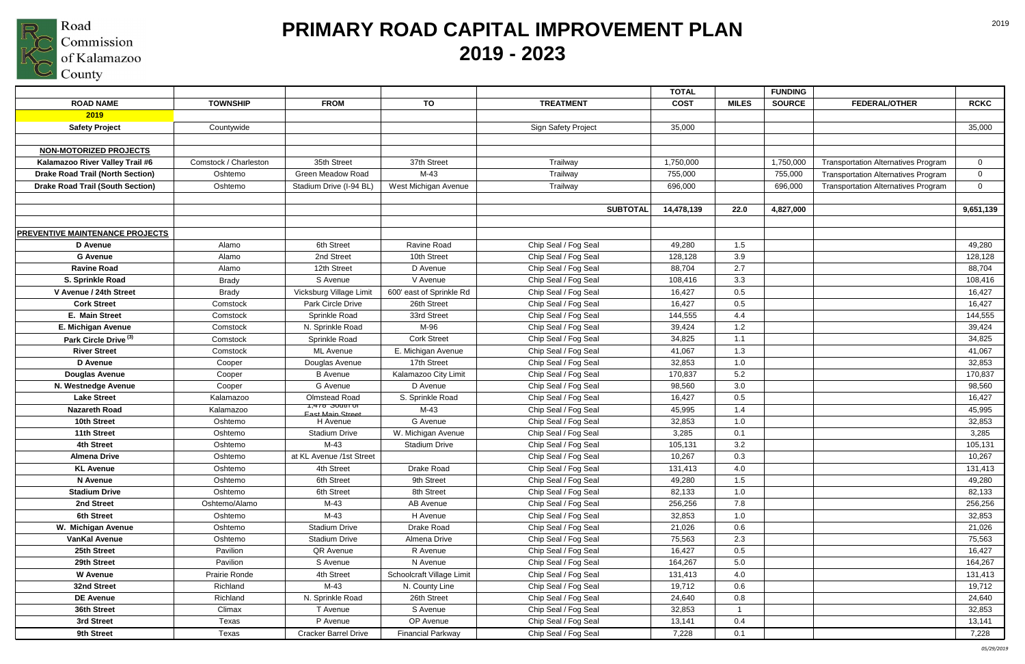

# **PRIMARY ROAD CAPITAL IMPROVEMENT PLAN 2019 - 2023**

2019

|                                         |                       |                                 |                           |                      | <b>TOTAL</b> |              | <b>FUNDING</b> |                                            |                |
|-----------------------------------------|-----------------------|---------------------------------|---------------------------|----------------------|--------------|--------------|----------------|--------------------------------------------|----------------|
| <b>ROAD NAME</b>                        | <b>TOWNSHIP</b>       | <b>FROM</b>                     | TO                        | <b>TREATMENT</b>     | <b>COST</b>  | <b>MILES</b> | <b>SOURCE</b>  | <b>FEDERAL/OTHER</b>                       | <b>RCKC</b>    |
| 2019                                    |                       |                                 |                           |                      |              |              |                |                                            |                |
| <b>Safety Project</b>                   | Countywide            |                                 |                           | Sign Safety Project  | 35,000       |              |                |                                            | 35,000         |
|                                         |                       |                                 |                           |                      |              |              |                |                                            |                |
| <b>NON-MOTORIZED PROJECTS</b>           |                       |                                 |                           |                      |              |              |                |                                            |                |
| Kalamazoo River Valley Trail #6         | Comstock / Charleston | 35th Street                     | 37th Street               | Trailway             | 1,750,000    |              | 1,750,000      | <b>Transportation Alternatives Program</b> | $\overline{0}$ |
| <b>Drake Road Trail (North Section)</b> | Oshtemo               | <b>Green Meadow Road</b>        | $M-43$                    | Trailway             | 755,000      |              | 755,000        | <b>Transportation Alternatives Program</b> | $\overline{0}$ |
| <b>Drake Road Trail (South Section)</b> | Oshtemo               | Stadium Drive (I-94 BL)         | West Michigan Avenue      | Trailway             | 696,000      |              | 696,000        | <b>Transportation Alternatives Program</b> | $\overline{0}$ |
|                                         |                       |                                 |                           |                      |              |              |                |                                            |                |
|                                         |                       |                                 |                           | <b>SUBTOTAL</b>      | 14,478,139   | 22.0         | 4,827,000      |                                            | 9,651,139      |
|                                         |                       |                                 |                           |                      |              |              |                |                                            |                |
| <b>PREVENTIVE MAINTENANCE PROJECTS</b>  |                       |                                 |                           |                      |              |              |                |                                            |                |
| D Avenue                                | Alamo                 | 6th Street                      | Ravine Road               | Chip Seal / Fog Seal | 49,280       | 1.5          |                |                                            | 49,280         |
| <b>G</b> Avenue                         | Alamo                 | 2nd Street                      | 10th Street               | Chip Seal / Fog Seal | 128,128      | 3.9          |                |                                            | 128,128        |
| <b>Ravine Road</b>                      | Alamo                 | 12th Street                     | D Avenue                  | Chip Seal / Fog Seal | 88,704       | 2.7          |                |                                            | 88,704         |
| S. Sprinkle Road                        | <b>Brady</b>          | S Avenue                        | V Avenue                  | Chip Seal / Fog Seal | 108,416      | 3.3          |                |                                            | 108,416        |
| V Avenue / 24th Street                  | <b>Brady</b>          | Vicksburg Village Limit         | 600' east of Sprinkle Rd  | Chip Seal / Fog Seal | 16,427       | 0.5<br>0.5   |                |                                            | 16,427         |
| <b>Cork Street</b>                      | Comstock              | Park Circle Drive               | 26th Street               | Chip Seal / Fog Seal | 16,427       |              |                |                                            | 16,427         |
| E. Main Street                          | Comstock              | Sprinkle Road                   | 33rd Street               | Chip Seal / Fog Seal | 144,555      | 4.4          |                |                                            | 144,555        |
| E. Michigan Avenue                      | Comstock              | N. Sprinkle Road                | M-96                      | Chip Seal / Fog Seal | 39,424       | 1.2          |                |                                            | 39,424         |
| Park Circle Drive <sup>(3)</sup>        | Comstock              | Sprinkle Road                   | <b>Cork Street</b>        | Chip Seal / Fog Seal | 34,825       | 1.1          |                |                                            | 34,825         |
| <b>River Street</b>                     | Comstock              | <b>ML</b> Avenue                | E. Michigan Avenue        | Chip Seal / Fog Seal | 41,067       | 1.3          |                |                                            | 41,067         |
| <b>D</b> Avenue                         | Cooper                | Douglas Avenue                  | 17th Street               | Chip Seal / Fog Seal | 32,853       | 1.0          |                |                                            | 32,853         |
| <b>Douglas Avenue</b>                   | Cooper                | <b>B</b> Avenue                 | Kalamazoo City Limit      | Chip Seal / Fog Seal | 170,837      | 5.2          |                |                                            | 170,837        |
| N. Westnedge Avenue                     | Cooper                | G Avenue                        | D Avenue                  | Chip Seal / Fog Seal | 98,560       | 3.0          |                |                                            | 98,560         |
| <b>Lake Street</b>                      | Kalamazoo             | Olmstead Road<br>1,478 South of | S. Sprinkle Road          | Chip Seal / Fog Seal | 16,427       | 0.5          |                |                                            | 16,427         |
| <b>Nazareth Road</b>                    | Kalamazoo             | <b>Fast Main Street</b>         | $M-43$                    | Chip Seal / Fog Seal | 45,995       | 1.4          |                |                                            | 45,995         |
| 10th Street                             | Oshtemo               | H Avenue                        | G Avenue                  | Chip Seal / Fog Seal | 32,853       | 1.0          |                |                                            | 32,853         |
| 11th Street                             | Oshtemo               | <b>Stadium Drive</b>            | W. Michigan Avenue        | Chip Seal / Fog Seal | 3,285        | 0.1          |                |                                            | 3,285          |
| 4th Street                              | Oshtemo               | $M-43$                          | <b>Stadium Drive</b>      | Chip Seal / Fog Seal | 105,131      | 3.2          |                |                                            | 105,131        |
| <b>Almena Drive</b>                     | Oshtemo               | at KL Avenue /1st Street        |                           | Chip Seal / Fog Seal | 10,267       | 0.3          |                |                                            | 10,267         |
| <b>KL Avenue</b>                        | Oshtemo               | 4th Street                      | Drake Road                | Chip Seal / Fog Seal | 131,413      | 4.0          |                |                                            | 131,413        |
| N Avenue                                | Oshtemo               | 6th Street                      | 9th Street                | Chip Seal / Fog Seal | 49,280       | 1.5          |                |                                            | 49,280         |
| <b>Stadium Drive</b>                    | Oshtemo               | 6th Street                      | 8th Street                | Chip Seal / Fog Seal | 82,133       | 1.0          |                |                                            | 82,133         |
| 2nd Street                              | Oshtemo/Alamo         | $M-43$                          | AB Avenue                 | Chip Seal / Fog Seal | 256,256      | 7.8          |                |                                            | 256,256        |
| 6th Street                              | Oshtemo               | M-43                            | H Avenue                  | Chip Seal / Fog Seal | 32,853       | 1.0          |                |                                            | 32,853         |
| W. Michigan Avenue                      | Oshtemo               | <b>Stadium Drive</b>            | Drake Road                | Chip Seal / Fog Seal | 21,026       | 0.6          |                |                                            | 21,026         |
| <b>VanKal Avenue</b>                    | Oshtemo               | <b>Stadium Drive</b>            | Almena Drive              | Chip Seal / Fog Seal | 75,563       | 2.3          |                |                                            | 75,563         |
| 25th Street                             | Pavilion              | QR Avenue                       | R Avenue                  | Chip Seal / Fog Seal | 16,427       | 0.5          |                |                                            | 16,427         |
| 29th Street                             | Pavilion              | S Avenue                        | N Avenue                  | Chip Seal / Fog Seal | 164,267      | 5.0          |                |                                            | 164,267        |
| <b>W</b> Avenue                         | Prairie Ronde         | 4th Street                      | Schoolcraft Village Limit | Chip Seal / Fog Seal | 131,413      | 4.0          |                |                                            | 131,413        |
| 32nd Street                             | Richland              | M-43                            | N. County Line            | Chip Seal / Fog Seal | 19,712       | 0.6          |                |                                            | 19,712         |
| <b>DE Avenue</b>                        | Richland              | N. Sprinkle Road                | 26th Street               | Chip Seal / Fog Seal | 24,640       | 0.8          |                |                                            | 24,640         |
| 36th Street                             | Climax                | T Avenue                        | S Avenue                  | Chip Seal / Fog Seal | 32,853       |              |                |                                            | 32,853         |
| 3rd Street                              | Texas                 | P Avenue                        | OP Avenue                 | Chip Seal / Fog Seal | 13,141       | 0.4          |                |                                            | 13,141         |
| 9th Street                              | Texas                 | <b>Cracker Barrel Drive</b>     | <b>Financial Parkway</b>  | Chip Seal / Fog Seal | 7,228        | 0.1          |                |                                            | 7,228          |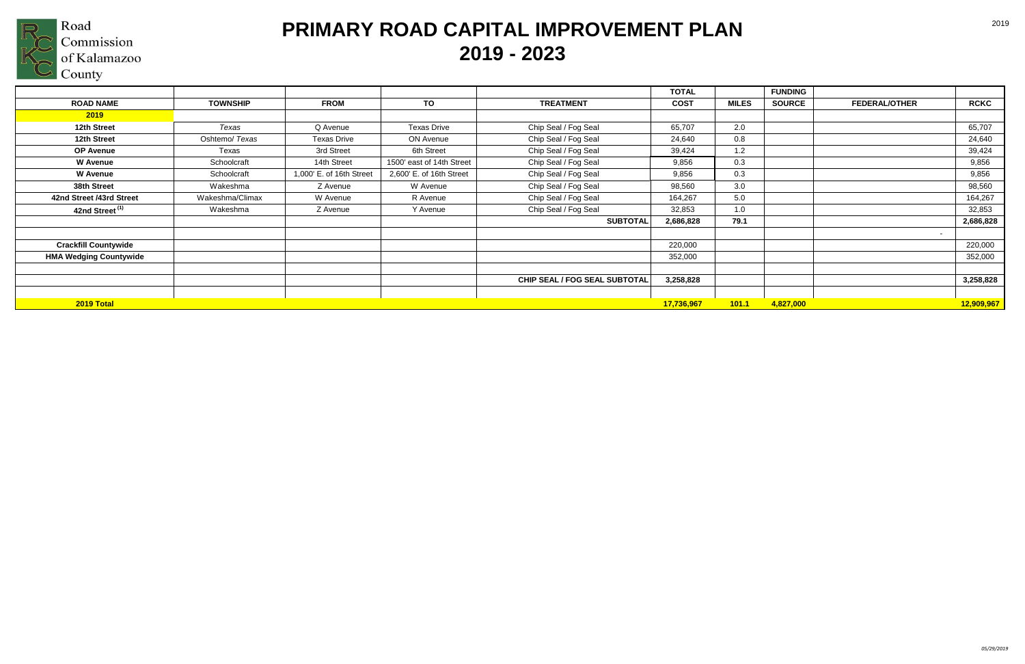

|                               |                 |                          |                           |                               | <b>TOTAL</b> |              | <b>FUNDING</b> |                      |                                     |
|-------------------------------|-----------------|--------------------------|---------------------------|-------------------------------|--------------|--------------|----------------|----------------------|-------------------------------------|
| <b>ROAD NAME</b>              | <b>TOWNSHIP</b> | <b>FROM</b>              | TO                        | <b>TREATMENT</b>              | <b>COST</b>  | <b>MILES</b> | <b>SOURCE</b>  | <b>FEDERAL/OTHER</b> | <b>RCKC</b>                         |
| 2019                          |                 |                          |                           |                               |              |              |                |                      |                                     |
| 12th Street                   | Texas           | Q Avenue                 | <b>Texas Drive</b>        | Chip Seal / Fog Seal          | 65,707       | 2.0          |                |                      | 65,707                              |
| 12th Street                   | Oshtemo/ Texas  | <b>Texas Drive</b>       | ON Avenue                 | Chip Seal / Fog Seal          | 24,640       | 0.8          |                |                      | 24,640                              |
| <b>OP Avenue</b>              | Texas           | 3rd Street               | 6th Street                | Chip Seal / Fog Seal          | 39,424       | 1.2          |                |                      | 39,424                              |
| <b>W</b> Avenue               | Schoolcraft     | 14th Street              | 1500' east of 14th Street | Chip Seal / Fog Seal          | 9,856        | 0.3          |                |                      | 9,856                               |
| <b>W</b> Avenue               | Schoolcraft     | 1,000' E. of 16th Street | 2,600' E. of 16th Street  | Chip Seal / Fog Seal          | 9,856        | 0.3          |                |                      | 9,856                               |
| 38th Street                   | Wakeshma        | Z Avenue                 | W Avenue                  | Chip Seal / Fog Seal          | 98,560       | 3.0          |                |                      | 98,560                              |
| 42nd Street /43rd Street      | Wakeshma/Climax | W Avenue                 | R Avenue                  | Chip Seal / Fog Seal          | 164,267      | 5.0          |                |                      | 164,267                             |
| 42nd Street <sup>(1)</sup>    | Wakeshma        | Z Avenue                 | Y Avenue                  | Chip Seal / Fog Seal          | 32,853       | 1.0          |                |                      | 32,853                              |
|                               |                 |                          |                           | <b>SUBTOTAL</b>               | 2,686,828    | 79.1         |                |                      | 2,686,828                           |
| <b>Crackfill Countywide</b>   |                 |                          |                           |                               | 220,000      |              |                |                      | $\overline{\phantom{a}}$<br>220,000 |
| <b>HMA Wedging Countywide</b> |                 |                          |                           |                               | 352,000      |              |                |                      | 352,000                             |
|                               |                 |                          |                           | CHIP SEAL / FOG SEAL SUBTOTAL | 3,258,828    |              |                |                      | 3,258,828                           |
| 2019 Total                    |                 |                          |                           |                               | 17,736,967   | 101.1        | 4,827,000      |                      | 12,909,967                          |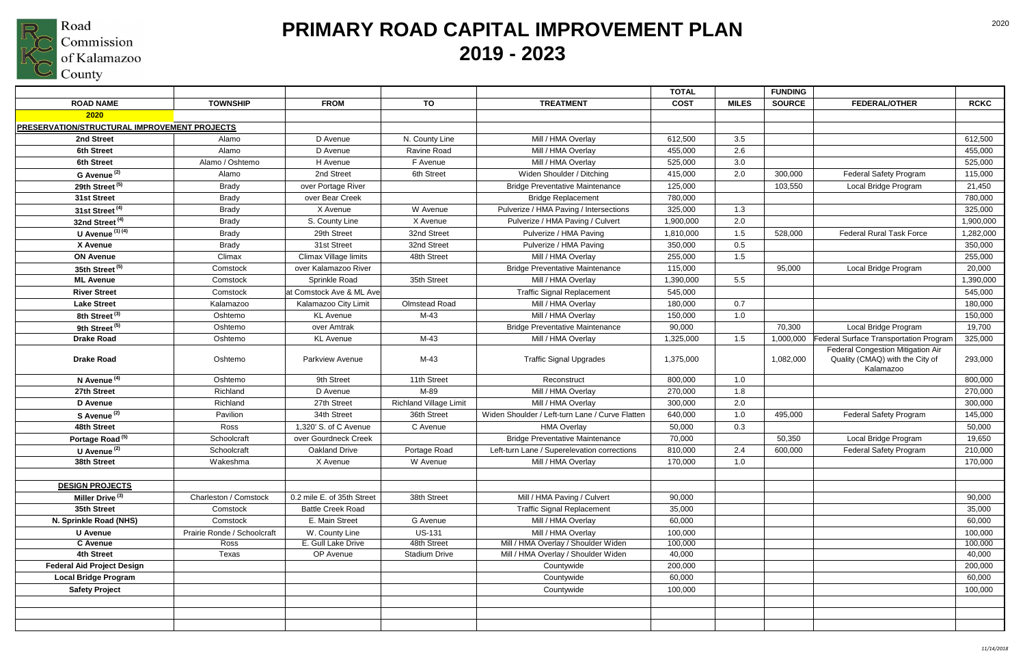

|                                              |                             |                            |                               |                                                 | <b>TOTAL</b> |              | <b>FUNDING</b> |                                                                                   |             |
|----------------------------------------------|-----------------------------|----------------------------|-------------------------------|-------------------------------------------------|--------------|--------------|----------------|-----------------------------------------------------------------------------------|-------------|
| <b>ROAD NAME</b>                             | <b>TOWNSHIP</b>             | <b>FROM</b>                | TO                            | <b>TREATMENT</b>                                | <b>COST</b>  | <b>MILES</b> | <b>SOURCE</b>  | <b>FEDERAL/OTHER</b>                                                              | <b>RCKC</b> |
| 2020                                         |                             |                            |                               |                                                 |              |              |                |                                                                                   |             |
| PRESERVATION/STRUCTURAL IMPROVEMENT PROJECTS |                             |                            |                               |                                                 |              |              |                |                                                                                   |             |
| 2nd Street                                   | Alamo                       | D Avenue                   | N. County Line                | Mill / HMA Overlay                              | 612,500      | 3.5          |                |                                                                                   | 612,500     |
| <b>6th Street</b>                            | Alamo                       | D Avenue                   | Ravine Road                   | Mill / HMA Overlay                              | 455,000      | 2.6          |                |                                                                                   | 455,000     |
| <b>6th Street</b>                            | Alamo / Oshtemo             | H Avenue                   | F Avenue                      | Mill / HMA Overlay                              | 525,000      | 3.0          |                |                                                                                   | 525,000     |
| G Avenue <sup>(2)</sup>                      | Alamo                       | 2nd Street                 | 6th Street                    | Widen Shoulder / Ditching                       | 415,000      | 2.0          | 300,000        | Federal Safety Program                                                            | 115,000     |
| 29th Street <sup>(5)</sup>                   | <b>Brady</b>                | over Portage River         |                               | <b>Bridge Preventative Maintenance</b>          | 125,000      |              | 103,550        | Local Bridge Program                                                              | 21,450      |
| 31st Street                                  | <b>Brady</b>                | over Bear Creek            |                               | <b>Bridge Replacement</b>                       | 780,000      |              |                |                                                                                   | 780,000     |
| 31st Street <sup>(4)</sup>                   | <b>Brady</b>                | X Avenue                   | W Avenue                      | Pulverize / HMA Paving / Intersections          | 325,000      | 1.3          |                |                                                                                   | 325,000     |
| 32nd Street <sup>(4)</sup>                   | <b>Brady</b>                | S. County Line             | X Avenue                      | Pulverize / HMA Paving / Culvert                | 1,900,000    | 2.0          |                |                                                                                   | 1,900,000   |
| U Avenue $(1)$ $(4)$                         | <b>Brady</b>                | 29th Street                | 32nd Street                   | Pulverize / HMA Paving                          | 1,810,000    | 1.5          | 528,000        | <b>Federal Rural Task Force</b>                                                   | 1,282,000   |
| X Avenue                                     | <b>Brady</b>                | 31st Street                | 32nd Street                   | Pulverize / HMA Paving                          | 350,000      | 0.5          |                |                                                                                   | 350,000     |
| <b>ON Avenue</b>                             | Climax                      | Climax Village limits      | 48th Street                   | Mill / HMA Overlay                              | 255,000      | 1.5          |                |                                                                                   | 255,000     |
| 35th Street <sup>(5)</sup>                   | Comstock                    | over Kalamazoo River       |                               | <b>Bridge Preventative Maintenance</b>          | 115,000      |              | 95,000         | Local Bridge Program                                                              | 20,000      |
| <b>ML Avenue</b>                             | Comstock                    | Sprinkle Road              | 35th Street                   | Mill / HMA Overlay                              | 1,390,000    | 5.5          |                |                                                                                   | 1,390,000   |
| <b>River Street</b>                          | Comstock                    | at Comstock Ave & ML Ave   |                               | <b>Traffic Signal Replacement</b>               | 545,000      |              |                |                                                                                   | 545,000     |
| <b>Lake Street</b>                           | Kalamazoo                   | Kalamazoo City Limit       | Olmstead Road                 | Mill / HMA Overlay                              | 180,000      | 0.7          |                |                                                                                   | 180,000     |
| 8th Street <sup>(3)</sup>                    | Oshtemo                     | <b>KL</b> Avenue           | $M-43$                        | Mill / HMA Overlay                              | 150,000      | 1.0          |                |                                                                                   | 150,000     |
| 9th Street <sup>(5)</sup>                    | Oshtemo                     | over Amtrak                |                               | <b>Bridge Preventative Maintenance</b>          | 90,000       |              | 70,300         | Local Bridge Program                                                              | 19,700      |
| <b>Drake Road</b>                            | Oshtemo                     | <b>KL</b> Avenue           | $M-43$                        | Mill / HMA Overlay                              | 1,325,000    | 1.5          | 1,000,000      | Federal Surface Transportation Program                                            | 325,000     |
| <b>Drake Road</b>                            | Oshtemo                     | <b>Parkview Avenue</b>     | $M-43$                        | <b>Traffic Signal Upgrades</b>                  | 1,375,000    |              | 1,082,000      | Federal Congestion Mitigation Air<br>Quality (CMAQ) with the City of<br>Kalamazoo | 293,000     |
| N Avenue <sup>(4)</sup>                      | Oshtemo                     | 9th Street                 | 11th Street                   | Reconstruct                                     | 800,000      | 1.0          |                |                                                                                   | 800,000     |
| 27th Street                                  | Richland                    | D Avenue                   | M-89                          | Mill / HMA Overlay                              | 270,000      | 1.8          |                |                                                                                   | 270,000     |
| D Avenue                                     | Richland                    | 27th Street                | <b>Richland Village Limit</b> | Mill / HMA Overlay                              | 300,000      | 2.0          |                |                                                                                   | 300,000     |
| S Avenue <sup>(2)</sup>                      | Pavilion                    | 34th Street                | 36th Street                   | Widen Shoulder / Left-turn Lane / Curve Flatten | 640,000      | 1.0          | 495,000        | <b>Federal Safety Program</b>                                                     | 145,000     |
| 48th Street                                  | Ross                        | 1,320' S. of C Avenue      | C Avenue                      | <b>HMA Overlay</b>                              | 50,000       | 0.3          |                |                                                                                   | 50,000      |
| Portage Road <sup>(5)</sup>                  | Schoolcraft                 | over Gourdneck Creek       |                               | <b>Bridge Preventative Maintenance</b>          | 70,000       |              | 50,350         | Local Bridge Program                                                              | 19,650      |
| U Avenue $(2)$                               | Schoolcraft                 | <b>Oakland Drive</b>       | Portage Road                  | Left-turn Lane / Superelevation corrections     | 810,000      | 2.4          | 600,000        | Federal Safety Program                                                            | 210,000     |
| 38th Street                                  | Wakeshma                    | X Avenue                   | W Avenue                      | Mill / HMA Overlay                              | 170,000      | 1.0          |                |                                                                                   | 170,000     |
|                                              |                             |                            |                               |                                                 |              |              |                |                                                                                   |             |
| <b>DESIGN PROJECTS</b>                       |                             |                            |                               |                                                 |              |              |                |                                                                                   |             |
| Miller Drive <sup>(3)</sup>                  | Charleston / Comstock       | 0.2 mile E. of 35th Street | 38th Street                   | Mill / HMA Paving / Culvert                     | 90,000       |              |                |                                                                                   | 90,000      |
| 35th Street                                  | Comstock                    | <b>Battle Creek Road</b>   |                               | <b>Traffic Signal Replacement</b>               | 35,000       |              |                |                                                                                   | 35,000      |
| N. Sprinkle Road (NHS)                       | Comstock                    | E. Main Street             | G Avenue                      | Mill / HMA Overlay                              | 60,000       |              |                |                                                                                   | 60,000      |
| <b>U</b> Avenue                              | Prairie Ronde / Schoolcraft | W. County Line             | <b>US-131</b>                 | Mill / HMA Overlay                              | 100,000      |              |                |                                                                                   | 100,000     |
| <b>C</b> Avenue                              | Ross                        | E. Gull Lake Drive         | 48th Street                   | Mill / HMA Overlay / Shoulder Widen             | 100,000      |              |                |                                                                                   | 100,000     |
| 4th Street                                   | Texas                       | OP Avenue                  | <b>Stadium Drive</b>          | Mill / HMA Overlay / Shoulder Widen             | 40,000       |              |                |                                                                                   | 40,000      |
| <b>Federal Aid Project Design</b>            |                             |                            |                               | Countywide                                      | 200,000      |              |                |                                                                                   | 200,000     |
| <b>Local Bridge Program</b>                  |                             |                            |                               | Countywide                                      | 60,000       |              |                |                                                                                   | 60,000      |
| <b>Safety Project</b>                        |                             |                            |                               | Countywide                                      | 100,000      |              |                |                                                                                   | 100,000     |
|                                              |                             |                            |                               |                                                 |              |              |                |                                                                                   |             |
|                                              |                             |                            |                               |                                                 |              |              |                |                                                                                   |             |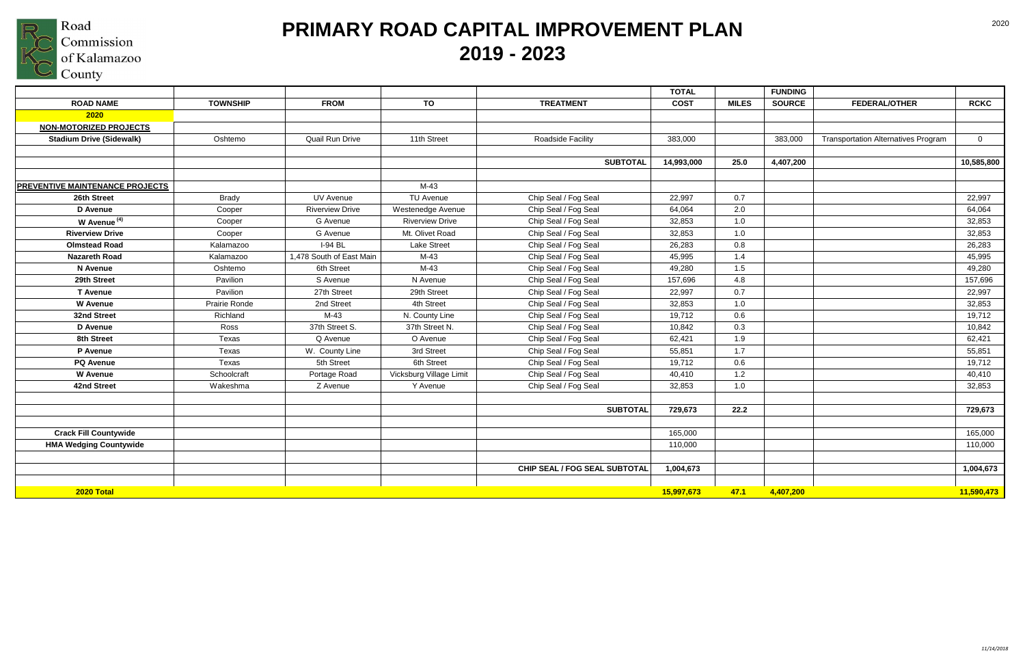

|                                 |                 |                          |                         |                               | <b>TOTAL</b> |              | <b>FUNDING</b> |                                            |                |
|---------------------------------|-----------------|--------------------------|-------------------------|-------------------------------|--------------|--------------|----------------|--------------------------------------------|----------------|
| <b>ROAD NAME</b>                | <b>TOWNSHIP</b> | <b>FROM</b>              | TO                      | <b>TREATMENT</b>              | <b>COST</b>  | <b>MILES</b> | <b>SOURCE</b>  | <b>FEDERAL/OTHER</b>                       | <b>RCKC</b>    |
| 2020                            |                 |                          |                         |                               |              |              |                |                                            |                |
| <b>NON-MOTORIZED PROJECTS</b>   |                 |                          |                         |                               |              |              |                |                                            |                |
| <b>Stadium Drive (Sidewalk)</b> | Oshtemo         | Quail Run Drive          | 11th Street             | <b>Roadside Facility</b>      | 383,000      |              | 383,000        | <b>Transportation Alternatives Program</b> | $\overline{0}$ |
|                                 |                 |                          |                         |                               |              |              |                |                                            |                |
|                                 |                 |                          |                         | <b>SUBTOTAL</b>               | 14,993,000   | 25.0         | 4,407,200      |                                            | 10,585,800     |
|                                 |                 |                          |                         |                               |              |              |                |                                            |                |
| PREVENTIVE MAINTENANCE PROJECTS |                 |                          | $M-43$                  |                               |              |              |                |                                            |                |
| 26th Street                     | <b>Brady</b>    | UV Avenue                | <b>TU Avenue</b>        | Chip Seal / Fog Seal          | 22,997       | 0.7          |                |                                            | 22,997         |
| D Avenue                        | Cooper          | <b>Riverview Drive</b>   | Westenedge Avenue       | Chip Seal / Fog Seal          | 64,064       | 2.0          |                |                                            | 64,064         |
| W Avenue <sup>(4)</sup>         | Cooper          | G Avenue                 | <b>Riverview Drive</b>  | Chip Seal / Fog Seal          | 32,853       | 1.0          |                |                                            | 32,853         |
| <b>Riverview Drive</b>          | Cooper          | G Avenue                 | Mt. Olivet Road         | Chip Seal / Fog Seal          | 32,853       | 1.0          |                |                                            | 32,853         |
| <b>Olmstead Road</b>            | Kalamazoo       | $I-94$ BL                | <b>Lake Street</b>      | Chip Seal / Fog Seal          | 26,283       | 0.8          |                |                                            | 26,283         |
| <b>Nazareth Road</b>            | Kalamazoo       | 1,478 South of East Main | $M-43$                  | Chip Seal / Fog Seal          | 45,995       | 1.4          |                |                                            | 45,995         |
| N Avenue                        | Oshtemo         | 6th Street               | $M-43$                  | Chip Seal / Fog Seal          | 49,280       | 1.5          |                |                                            | 49,280         |
| 29th Street                     | Pavilion        | S Avenue                 | N Avenue                | Chip Seal / Fog Seal          | 157,696      | 4.8          |                |                                            | 157,696        |
| <b>T</b> Avenue                 | Pavilion        | 27th Street              | 29th Street             | Chip Seal / Fog Seal          | 22,997       | 0.7          |                |                                            | 22,997         |
| <b>W</b> Avenue                 | Prairie Ronde   | 2nd Street               | 4th Street              | Chip Seal / Fog Seal          | 32,853       | 1.0          |                |                                            | 32,853         |
| 32nd Street                     | Richland        | $M-43$                   | N. County Line          | Chip Seal / Fog Seal          | 19,712       | 0.6          |                |                                            | 19,712         |
| D Avenue                        | Ross            | 37th Street S.           | 37th Street N.          | Chip Seal / Fog Seal          | 10,842       | 0.3          |                |                                            | 10,842         |
| 8th Street                      | Texas           | Q Avenue                 | O Avenue                | Chip Seal / Fog Seal          | 62,421       | 1.9          |                |                                            | 62,421         |
| P Avenue                        | Texas           | W. County Line           | 3rd Street              | Chip Seal / Fog Seal          | 55,851       | 1.7          |                |                                            | 55,851         |
| <b>PQ Avenue</b>                | Texas           | 5th Street               | 6th Street              | Chip Seal / Fog Seal          | 19,712       | 0.6          |                |                                            | 19,712         |
| <b>W</b> Avenue                 | Schoolcraft     | Portage Road             | Vicksburg Village Limit | Chip Seal / Fog Seal          | 40,410       | 1.2          |                |                                            | 40,410         |
| 42nd Street                     | Wakeshma        | Z Avenue                 | Y Avenue                | Chip Seal / Fog Seal          | 32,853       | 1.0          |                |                                            | 32,853         |
|                                 |                 |                          |                         |                               |              |              |                |                                            |                |
|                                 |                 |                          |                         | <b>SUBTOTAL</b>               | 729,673      | 22.2         |                |                                            | 729,673        |
|                                 |                 |                          |                         |                               |              |              |                |                                            |                |
| <b>Crack Fill Countywide</b>    |                 |                          |                         |                               | 165,000      |              |                |                                            | 165,000        |
| <b>HMA Wedging Countywide</b>   |                 |                          |                         |                               | 110,000      |              |                |                                            | 110,000        |
|                                 |                 |                          |                         |                               |              |              |                |                                            |                |
|                                 |                 |                          |                         | CHIP SEAL / FOG SEAL SUBTOTAL | 1,004,673    |              |                |                                            | 1,004,673      |
|                                 |                 |                          |                         |                               |              |              |                |                                            |                |
| 2020 Total                      |                 |                          |                         |                               | 15,997,673   | 47.1         | 4,407,200      |                                            | 11,590,473     |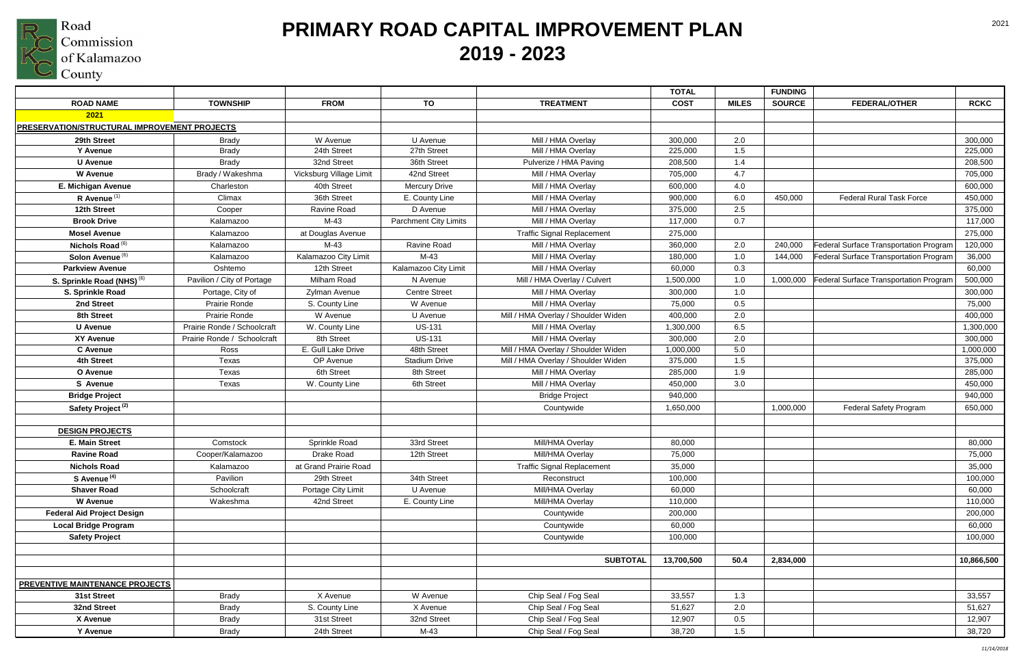

|                                                     |                             |                         |                              |                                     | <b>TOTAL</b> |              | <b>FUNDING</b> |                                        |             |
|-----------------------------------------------------|-----------------------------|-------------------------|------------------------------|-------------------------------------|--------------|--------------|----------------|----------------------------------------|-------------|
| <b>ROAD NAME</b>                                    | <b>TOWNSHIP</b>             | <b>FROM</b>             | <b>TO</b>                    | <b>TREATMENT</b>                    | <b>COST</b>  | <b>MILES</b> | <b>SOURCE</b>  | <b>FEDERAL/OTHER</b>                   | <b>RCKC</b> |
| 2021                                                |                             |                         |                              |                                     |              |              |                |                                        |             |
| <b>PRESERVATION/STRUCTURAL IMPROVEMENT PROJECTS</b> |                             |                         |                              |                                     |              |              |                |                                        |             |
| 29th Street                                         | <b>Brady</b>                | W Avenue                | U Avenue                     | Mill / HMA Overlay                  | 300,000      | 2.0          |                |                                        | 300,000     |
| Y Avenue                                            | <b>Brady</b>                | 24th Street             | 27th Street                  | Mill / HMA Overlay                  | 225,000      | 1.5          |                |                                        | 225,000     |
| <b>U</b> Avenue                                     | <b>Brady</b>                | 32nd Street             | 36th Street                  | Pulverize / HMA Paving              | 208,500      | 1.4          |                |                                        | 208,500     |
| <b>W</b> Avenue                                     | Brady / Wakeshma            | Vicksburg Village Limit | 42nd Street                  | Mill / HMA Overlay                  | 705,000      | 4.7          |                |                                        | 705,000     |
| E. Michigan Avenue                                  | Charleston                  | 40th Street             | <b>Mercury Drive</b>         | Mill / HMA Overlay                  | 600,000      | 4.0          |                |                                        | 600,000     |
| R Avenue $(1)$                                      | Climax                      | 36th Street             | E. County Line               | Mill / HMA Overlay                  | 900,000      | 6.0          | 450,000        | <b>Federal Rural Task Force</b>        | 450,000     |
| 12th Street                                         | Cooper                      | Ravine Road             | D Avenue                     | Mill / HMA Overlay                  | 375,000      | 2.5          |                |                                        | 375,000     |
| <b>Brook Drive</b>                                  | Kalamazoo                   | M-43                    | <b>Parchment City Limits</b> | Mill / HMA Overlay                  | 117,000      | 0.7          |                |                                        | 117,000     |
| <b>Mosel Avenue</b>                                 | Kalamazoo                   | at Douglas Avenue       |                              | <b>Traffic Signal Replacement</b>   | 275,000      |              |                |                                        | 275,000     |
| Nichols Road <sup>(6)</sup>                         | Kalamazoo                   | $M-43$                  | Ravine Road                  | Mill / HMA Overlay                  | 360,000      | 2.0          | 240,000        | Federal Surface Transportation Program | 120,000     |
| Solon Avenue <sup>(6)</sup>                         | Kalamazoo                   | Kalamazoo City Limit    | M-43                         | Mill / HMA Overlay                  | 180,000      | 1.0          | 144,000        | Federal Surface Transportation Program | 36,000      |
| <b>Parkview Avenue</b>                              | Oshtemo                     | 12th Street             | Kalamazoo City Limit         | Mill / HMA Overlay                  | 60,000       | 0.3          |                |                                        | 60,000      |
| S. Sprinkle Road (NHS) <sup>(6)</sup>               | Pavilion / City of Portage  | Milham Road             | N Avenue                     | Mill / HMA Overlay / Culvert        | 1,500,000    | 1.0          | 1,000,000      | Federal Surface Transportation Program | 500,000     |
| S. Sprinkle Road                                    | Portage, City of            | Zylman Avenue           | <b>Centre Street</b>         | Mill / HMA Overlay                  | 300,000      | 1.0          |                |                                        | 300,000     |
| 2nd Street                                          | <b>Prairie Ronde</b>        | S. County Line          | W Avenue                     | Mill / HMA Overlay                  | 75,000       | 0.5          |                |                                        | 75,000      |
| 8th Street                                          | Prairie Ronde               | W Avenue                | U Avenue                     | Mill / HMA Overlay / Shoulder Widen | 400,000      | 2.0          |                |                                        | 400,000     |
| <b>U</b> Avenue                                     | Prairie Ronde / Schoolcraft | W. County Line          | <b>US-131</b>                | Mill / HMA Overlay                  | 1,300,000    | 6.5          |                |                                        | 1,300,000   |
| <b>XY Avenue</b>                                    | Prairie Ronde / Schoolcraft | 8th Street              | <b>US-131</b>                | Mill / HMA Overlay                  | 300,000      | 2.0          |                |                                        | 300,000     |
| <b>C</b> Avenue                                     | Ross                        | E. Gull Lake Drive      | 48th Street                  | Mill / HMA Overlay / Shoulder Widen | 1,000,000    | 5.0          |                |                                        | 1,000,000   |
| 4th Street                                          | Texas                       | OP Avenue               | <b>Stadium Drive</b>         | Mill / HMA Overlay / Shoulder Widen | 375,000      | 1.5          |                |                                        | 375,000     |
| O Avenue                                            | Texas                       | 6th Street              | 8th Street                   | Mill / HMA Overlay                  | 285,000      | 1.9          |                |                                        | 285,000     |
| S Avenue                                            | Texas                       | W. County Line          | 6th Street                   | Mill / HMA Overlay                  | 450,000      | 3.0          |                |                                        | 450,000     |
| <b>Bridge Project</b>                               |                             |                         |                              | <b>Bridge Project</b>               | 940,000      |              |                |                                        | 940,000     |
| Safety Project <sup>(2)</sup>                       |                             |                         |                              | Countywide                          | 1,650,000    |              | 1,000,000      | <b>Federal Safety Program</b>          | 650,000     |
|                                                     |                             |                         |                              |                                     |              |              |                |                                        |             |
| <b>DESIGN PROJECTS</b>                              |                             |                         |                              |                                     |              |              |                |                                        |             |
| <b>E. Main Street</b>                               | Comstock                    | Sprinkle Road           | 33rd Street                  | Mill/HMA Overlay                    | 80,000       |              |                |                                        | 80,000      |
| <b>Ravine Road</b>                                  | Cooper/Kalamazoo            | Drake Road              | 12th Street                  | Mill/HMA Overlay                    | 75,000       |              |                |                                        | 75,000      |
| <b>Nichols Road</b>                                 | Kalamazoo                   | at Grand Prairie Road   |                              | <b>Traffic Signal Replacement</b>   | 35,000       |              |                |                                        | 35,000      |
| S Avenue <sup>(4)</sup>                             | Pavilion                    | 29th Street             | 34th Street                  | Reconstruct                         | 100,000      |              |                |                                        | 100,000     |
| <b>Shaver Road</b>                                  | Schoolcraft                 | Portage City Limit      | U Avenue                     | Mill/HMA Overlay                    | 60,000       |              |                |                                        | 60,000      |
| <b>W</b> Avenue                                     | Wakeshma                    | 42nd Street             | E. County Line               | Mill/HMA Overlay                    | 110,000      |              |                |                                        | 110,000     |
| <b>Federal Aid Project Design</b>                   |                             |                         |                              | Countywide                          | 200,000      |              |                |                                        | 200,000     |
| <b>Local Bridge Program</b>                         |                             |                         |                              | Countywide                          | 60,000       |              |                |                                        | 60,000      |
| <b>Safety Project</b>                               |                             |                         |                              | Countywide                          | 100,000      |              |                |                                        | 100,000     |
|                                                     |                             |                         |                              |                                     |              |              |                |                                        |             |
|                                                     |                             |                         |                              | <b>SUBTOTAL</b>                     | 13,700,500   | 50.4         | 2,834,000      |                                        | 10,866,500  |
| <b>PREVENTIVE MAINTENANCE PROJECTS</b>              |                             |                         |                              |                                     |              |              |                |                                        |             |
| 31st Street                                         | <b>Brady</b>                | X Avenue                | W Avenue                     | Chip Seal / Fog Seal                | 33,557       | 1.3          |                |                                        | 33,557      |
| 32nd Street                                         | <b>Brady</b>                | S. County Line          | X Avenue                     | Chip Seal / Fog Seal                | 51,627       | 2.0          |                |                                        | 51,627      |
| X Avenue                                            | <b>Brady</b>                | 31st Street             | 32nd Street                  | Chip Seal / Fog Seal                | 12,907       | $0.5\,$      |                |                                        | 12,907      |
| Y Avenue                                            | <b>Brady</b>                | 24th Street             | $M-43$                       | Chip Seal / Fog Seal                | 38,720       | 1.5          |                |                                        | 38,720      |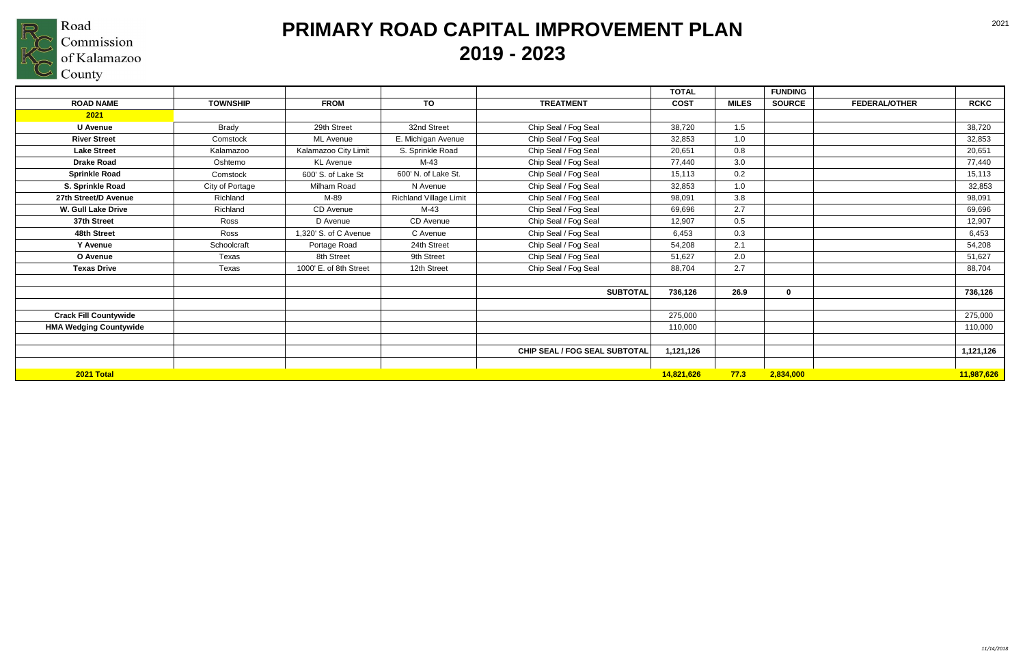

|                               |                 |                        |                               |                               | <b>TOTAL</b> |              | <b>FUNDING</b> |                      |             |
|-------------------------------|-----------------|------------------------|-------------------------------|-------------------------------|--------------|--------------|----------------|----------------------|-------------|
| <b>ROAD NAME</b>              | <b>TOWNSHIP</b> | <b>FROM</b>            | TO                            | <b>TREATMENT</b>              | <b>COST</b>  | <b>MILES</b> | <b>SOURCE</b>  | <b>FEDERAL/OTHER</b> | <b>RCKC</b> |
| 2021                          |                 |                        |                               |                               |              |              |                |                      |             |
| <b>U</b> Avenue               | <b>Brady</b>    | 29th Street            | 32nd Street                   | Chip Seal / Fog Seal          | 38,720       | 1.5          |                |                      | 38,720      |
| <b>River Street</b>           | Comstock        | <b>ML</b> Avenue       | E. Michigan Avenue            | Chip Seal / Fog Seal          | 32,853       | 1.0          |                |                      | 32,853      |
| <b>Lake Street</b>            | Kalamazoo       | Kalamazoo City Limit   | S. Sprinkle Road              | Chip Seal / Fog Seal          | 20,651       | 0.8          |                |                      | 20,651      |
| <b>Drake Road</b>             | Oshtemo         | <b>KL</b> Avenue       | M-43                          | Chip Seal / Fog Seal          | 77,440       | 3.0          |                |                      | 77,440      |
| <b>Sprinkle Road</b>          | Comstock        | 600' S. of Lake St     | 600' N. of Lake St.           | Chip Seal / Fog Seal          | 15.113       | 0.2          |                |                      | 15,113      |
| S. Sprinkle Road              | City of Portage | Milham Road            | N Avenue                      | Chip Seal / Fog Seal          | 32,853       | 1.0          |                |                      | 32,853      |
| 27th Street/D Avenue          | Richland        | M-89                   | <b>Richland Village Limit</b> | Chip Seal / Fog Seal          | 98,091       | 3.8          |                |                      | 98,091      |
| W. Gull Lake Drive            | Richland        | <b>CD</b> Avenue       | M-43                          | Chip Seal / Fog Seal          | 69,696       | 2.7          |                |                      | 69,696      |
| 37th Street                   | Ross            | D Avenue               | CD Avenue                     | Chip Seal / Fog Seal          | 12,907       | 0.5          |                |                      | 12,907      |
| 48th Street                   | Ross            | 1,320' S. of C Avenue  | C Avenue                      | Chip Seal / Fog Seal          | 6,453        | 0.3          |                |                      | 6,453       |
| Y Avenue                      | Schoolcraft     | Portage Road           | 24th Street                   | Chip Seal / Fog Seal          | 54,208       | 2.1          |                |                      | 54,208      |
| O Avenue                      | Texas           | 8th Street             | 9th Street                    | Chip Seal / Fog Seal          | 51,627       | 2.0          |                |                      | 51,627      |
| <b>Texas Drive</b>            | Texas           | 1000' E. of 8th Street | 12th Street                   | Chip Seal / Fog Seal          | 88,704       | 2.7          |                |                      | 88,704      |
|                               |                 |                        |                               | <b>SUBTOTAL</b>               | 736,126      | 26.9         | 0              |                      | 736,126     |
| <b>Crack Fill Countywide</b>  |                 |                        |                               |                               | 275,000      |              |                |                      | 275,000     |
| <b>HMA Wedging Countywide</b> |                 |                        |                               |                               | 110,000      |              |                |                      | 110,000     |
|                               |                 |                        |                               | CHIP SEAL / FOG SEAL SUBTOTAL | 1,121,126    |              |                |                      | 1,121,126   |
| 2021 Total                    |                 |                        |                               |                               | 14,821,626   | 77.3         | 2,834,000      |                      | 11,987,626  |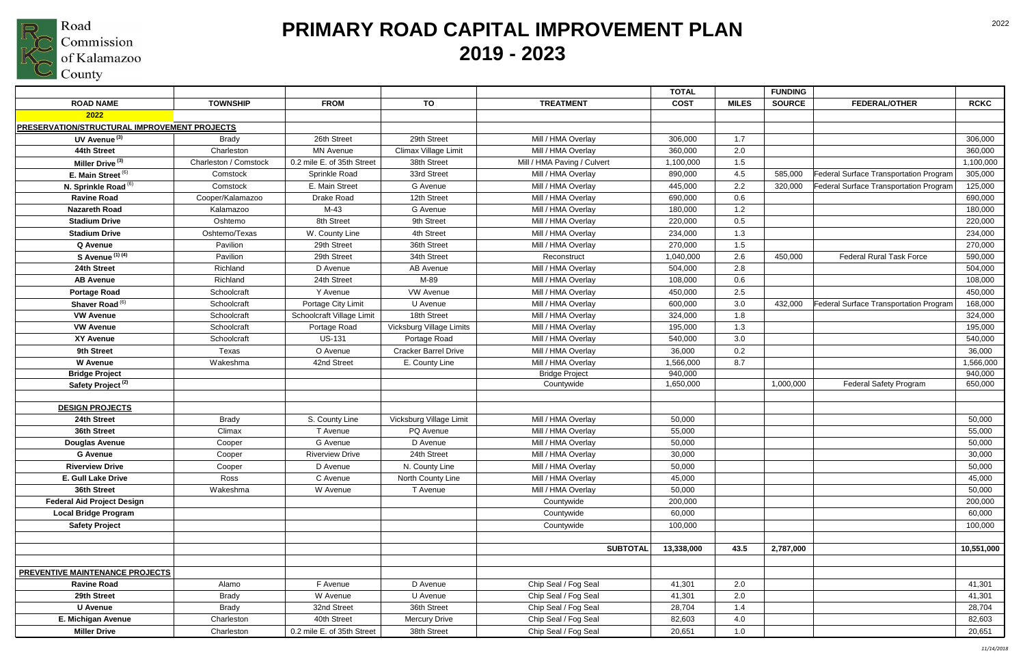

|                                                     |                       |                            |                             |                             | <b>TOTAL</b> |              | <b>FUNDING</b> |                                               |             |
|-----------------------------------------------------|-----------------------|----------------------------|-----------------------------|-----------------------------|--------------|--------------|----------------|-----------------------------------------------|-------------|
| <b>ROAD NAME</b>                                    | <b>TOWNSHIP</b>       | <b>FROM</b>                | TO                          | <b>TREATMENT</b>            | <b>COST</b>  | <b>MILES</b> | <b>SOURCE</b>  | <b>FEDERAL/OTHER</b>                          | <b>RCKC</b> |
| 2022                                                |                       |                            |                             |                             |              |              |                |                                               |             |
| <b>PRESERVATION/STRUCTURAL IMPROVEMENT PROJECTS</b> |                       |                            |                             |                             |              |              |                |                                               |             |
| UV Avenue <sup>(3)</sup>                            | <b>Brady</b>          | 26th Street                | 29th Street                 | Mill / HMA Overlay          | 306,000      | 1.7          |                |                                               | 306,000     |
| 44th Street                                         | Charleston            | <b>MN Avenue</b>           | Climax Village Limit        | Mill / HMA Overlay          | 360,000      | 2.0          |                |                                               | 360,000     |
| Miller Drive <sup>(3)</sup>                         | Charleston / Comstock | 0.2 mile E. of 35th Street | 38th Street                 | Mill / HMA Paving / Culvert | 1,100,000    | 1.5          |                |                                               | 1,100,000   |
| E. Main Street <sup>(6)</sup>                       | Comstock              | Sprinkle Road              | 33rd Street                 | Mill / HMA Overlay          | 890,000      | 4.5          | 585,000        | <b>Federal Surface Transportation Program</b> | 305,000     |
| N. Sprinkle Road <sup>(6)</sup>                     | Comstock              | E. Main Street             | G Avenue                    | Mill / HMA Overlay          | 445,000      | 2.2          | 320,000        | Federal Surface Transportation Program        | 125,000     |
| <b>Ravine Road</b>                                  | Cooper/Kalamazoo      | Drake Road                 | 12th Street                 | Mill / HMA Overlay          | 690,000      | 0.6          |                |                                               | 690,000     |
| <b>Nazareth Road</b>                                | Kalamazoo             | M-43                       | G Avenue                    | Mill / HMA Overlay          | 180,000      | 1.2          |                |                                               | 180,000     |
| <b>Stadium Drive</b>                                | Oshtemo               | 8th Street                 | 9th Street                  | Mill / HMA Overlay          | 220,000      | 0.5          |                |                                               | 220,000     |
| <b>Stadium Drive</b>                                | Oshtemo/Texas         | W. County Line             | 4th Street                  | Mill / HMA Overlay          | 234,000      | 1.3          |                |                                               | 234,000     |
| Q Avenue                                            | Pavilion              | 29th Street                | 36th Street                 | Mill / HMA Overlay          | 270,000      | 1.5          |                |                                               | 270,000     |
| S Avenue (1) (4)                                    | Pavilion              | 29th Street                | 34th Street                 | Reconstruct                 | 1,040,000    | 2.6          | 450,000        | <b>Federal Rural Task Force</b>               | 590,000     |
| 24th Street                                         | Richland              | D Avenue                   | <b>AB Avenue</b>            | Mill / HMA Overlay          | 504,000      | 2.8          |                |                                               | 504,000     |
| <b>AB Avenue</b>                                    | Richland              | 24th Street                | M-89                        | Mill / HMA Overlay          | 108,000      | 0.6          |                |                                               | 108,000     |
| <b>Portage Road</b>                                 | Schoolcraft           | Y Avenue                   | <b>VW Avenue</b>            | Mill / HMA Overlay          | 450,000      | 2.5          |                |                                               | 450,000     |
| Shaver Road <sup>(6)</sup>                          | Schoolcraft           | Portage City Limit         | U Avenue                    | Mill / HMA Overlay          | 600,000      | 3.0          | 432,000        | Federal Surface Transportation Program        | 168,000     |
| <b>VW Avenue</b>                                    | Schoolcraft           | Schoolcraft Village Limit  | 18th Street                 | Mill / HMA Overlay          | 324,000      | 1.8          |                |                                               | 324,000     |
| <b>VW Avenue</b>                                    | Schoolcraft           | Portage Road               | Vicksburg Village Limits    | Mill / HMA Overlay          | 195,000      | 1.3          |                |                                               | 195,000     |
| <b>XY Avenue</b>                                    | Schoolcraft           | <b>US-131</b>              | Portage Road                | Mill / HMA Overlay          | 540,000      | 3.0          |                |                                               | 540,000     |
| 9th Street                                          | Texas                 | O Avenue                   | <b>Cracker Barrel Drive</b> | Mill / HMA Overlay          | 36,000       | 0.2          |                |                                               | 36,000      |
| <b>W</b> Avenue                                     | Wakeshma              | 42nd Street                | E. County Line              | Mill / HMA Overlay          | 1,566,000    | 8.7          |                |                                               | 1,566,000   |
| <b>Bridge Project</b>                               |                       |                            |                             | <b>Bridge Project</b>       | 940,000      |              |                |                                               | 940,000     |
| Safety Project <sup>(2)</sup>                       |                       |                            |                             | Countywide                  | 1,650,000    |              | 1,000,000      | <b>Federal Safety Program</b>                 | 650,000     |
|                                                     |                       |                            |                             |                             |              |              |                |                                               |             |
| <b>DESIGN PROJECTS</b>                              |                       |                            |                             |                             |              |              |                |                                               |             |
| 24th Street                                         | <b>Brady</b>          | S. County Line             | Vicksburg Village Limit     | Mill / HMA Overlay          | 50,000       |              |                |                                               | 50,000      |
| 36th Street                                         | Climax                | T Avenue                   | PQ Avenue                   | Mill / HMA Overlay          | 55,000       |              |                |                                               | 55,000      |
| <b>Douglas Avenue</b>                               | Cooper                | G Avenue                   | D Avenue                    | Mill / HMA Overlay          | 50,000       |              |                |                                               | 50,000      |
| <b>G</b> Avenue                                     | Cooper                | <b>Riverview Drive</b>     | 24th Street                 | Mill / HMA Overlay          | 30,000       |              |                |                                               | 30,000      |
| <b>Riverview Drive</b>                              | Cooper                | D Avenue                   | N. County Line              | Mill / HMA Overlay          | 50,000       |              |                |                                               | 50,000      |
| E. Gull Lake Drive                                  | Ross                  | C Avenue                   | North County Line           | Mill / HMA Overlay          | 45,000       |              |                |                                               | 45,000      |
| 36th Street                                         | Wakeshma              | W Avenue                   | T Avenue                    | Mill / HMA Overlay          | 50,000       |              |                |                                               | 50,000      |
| <b>Federal Aid Project Design</b>                   |                       |                            |                             | Countywide                  | 200,000      |              |                |                                               | 200,000     |
| <b>Local Bridge Program</b>                         |                       |                            |                             | Countywide                  | 60,000       |              |                |                                               | 60,000      |
| <b>Safety Project</b>                               |                       |                            |                             | Countywide                  | 100,000      |              |                |                                               | 100,000     |
|                                                     |                       |                            |                             |                             |              |              |                |                                               |             |
|                                                     |                       |                            |                             | <b>SUBTOTAL</b>             | 13,338,000   | 43.5         | 2,787,000      |                                               | 10,551,000  |
|                                                     |                       |                            |                             |                             |              |              |                |                                               |             |
| PREVENTIVE MAINTENANCE PROJECTS                     |                       |                            |                             |                             |              |              |                |                                               |             |
| <b>Ravine Road</b>                                  | Alamo                 | F Avenue                   | D Avenue                    | Chip Seal / Fog Seal        | 41,301       | 2.0          |                |                                               | 41,301      |
| 29th Street                                         | <b>Brady</b>          | W Avenue                   | U Avenue                    | Chip Seal / Fog Seal        | 41,301       | 2.0          |                |                                               | 41,301      |
| <b>U</b> Avenue                                     | <b>Brady</b>          | 32nd Street                | 36th Street                 | Chip Seal / Fog Seal        | 28,704       | 1.4          |                |                                               | 28,704      |
| E. Michigan Avenue                                  | Charleston            | 40th Street                | <b>Mercury Drive</b>        | Chip Seal / Fog Seal        | 82,603       | 4.0          |                |                                               | 82,603      |
| <b>Miller Drive</b>                                 | Charleston            | 0.2 mile E. of 35th Street | 38th Street                 | Chip Seal / Fog Seal        | 20,651       | 1.0          |                |                                               | 20,651      |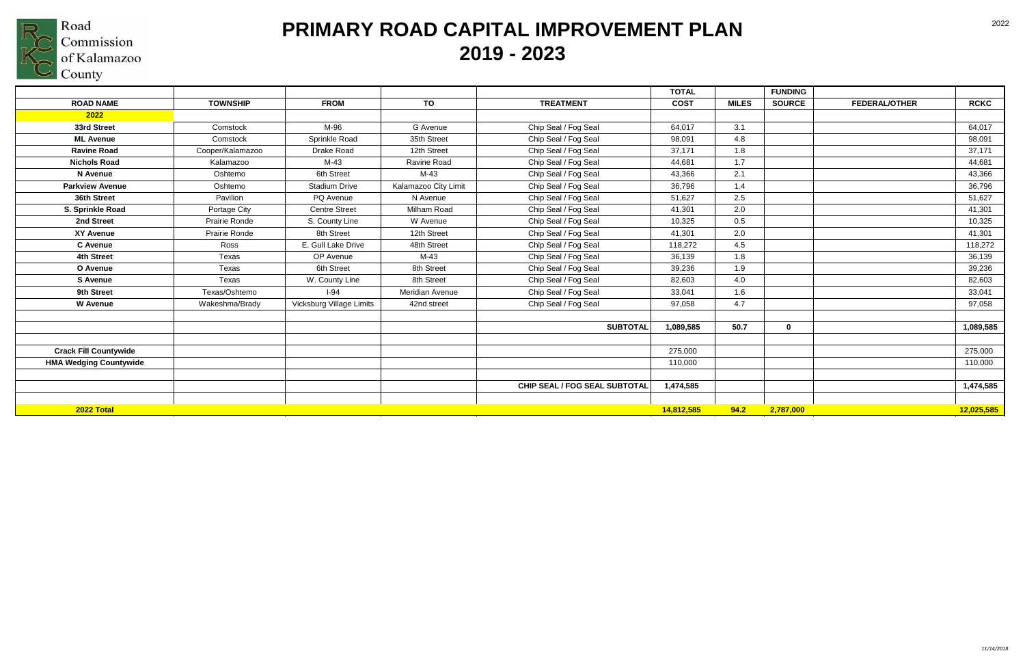

|                               |                  |                          |                      |                               | <b>TOTAL</b> |              | <b>FUNDING</b> |                      |             |
|-------------------------------|------------------|--------------------------|----------------------|-------------------------------|--------------|--------------|----------------|----------------------|-------------|
| <b>ROAD NAME</b>              | <b>TOWNSHIP</b>  | <b>FROM</b>              | TO                   | <b>TREATMENT</b>              | <b>COST</b>  | <b>MILES</b> | <b>SOURCE</b>  | <b>FEDERAL/OTHER</b> | <b>RCKC</b> |
| 2022                          |                  |                          |                      |                               |              |              |                |                      |             |
| 33rd Street                   | Comstock         | M-96                     | G Avenue             | Chip Seal / Fog Seal          | 64,017       | 3.1          |                |                      | 64,017      |
| <b>ML Avenue</b>              | Comstock         | Sprinkle Road            | 35th Street          | Chip Seal / Fog Seal          | 98,091       | 4.8          |                |                      | 98,091      |
| <b>Ravine Road</b>            | Cooper/Kalamazoo | Drake Road               | 12th Street          | Chip Seal / Fog Seal          | 37,171       | 1.8          |                |                      | 37,171      |
| <b>Nichols Road</b>           | Kalamazoo        | M-43                     | Ravine Road          | Chip Seal / Fog Seal          | 44,681       | 1.7          |                |                      | 44,681      |
| N Avenue                      | Oshtemo          | 6th Street               | $M-43$               | Chip Seal / Fog Seal          | 43,366       | 2.1          |                |                      | 43,366      |
| <b>Parkview Avenue</b>        | Oshtemo          | <b>Stadium Drive</b>     | Kalamazoo City Limit | Chip Seal / Fog Seal          | 36,796       | 1.4          |                |                      | 36,796      |
| 36th Street                   | Pavilion         | PQ Avenue                | N Avenue             | Chip Seal / Fog Seal          | 51,627       | 2.5          |                |                      | 51,627      |
| S. Sprinkle Road              | Portage City     | <b>Centre Street</b>     | Milham Road          | Chip Seal / Fog Seal          | 41,301       | 2.0          |                |                      | 41,301      |
| 2nd Street                    | Prairie Ronde    | S. County Line           | W Avenue             | Chip Seal / Fog Seal          | 10,325       | 0.5          |                |                      | 10,325      |
| <b>XY Avenue</b>              | Prairie Ronde    | 8th Street               | 12th Street          | Chip Seal / Fog Seal          | 41,301       | 2.0          |                |                      | 41,301      |
| <b>C</b> Avenue               | Ross             | E. Gull Lake Drive       | 48th Street          | Chip Seal / Fog Seal          | 118,272      | 4.5          |                |                      | 118,272     |
| 4th Street                    | Texas            | OP Avenue                | $M-43$               | Chip Seal / Fog Seal          | 36,139       | 1.8          |                |                      | 36,139      |
| O Avenue                      | Texas            | 6th Street               | 8th Street           | Chip Seal / Fog Seal          | 39,236       | 1.9          |                |                      | 39,236      |
| <b>S</b> Avenue               | Texas            | W. County Line           | 8th Street           | Chip Seal / Fog Seal          | 82,603       | 4.0          |                |                      | 82,603      |
| 9th Street                    | Texas/Oshtemo    | $I-94$                   | Meridian Avenue      | Chip Seal / Fog Seal          | 33,041       | 1.6          |                |                      | 33,041      |
| <b>W</b> Avenue               | Wakeshma/Brady   | Vicksburg Village Limits | 42nd street          | Chip Seal / Fog Seal          | 97,058       | 4.7          |                |                      | 97,058      |
|                               |                  |                          |                      |                               |              |              |                |                      |             |
|                               |                  |                          |                      | <b>SUBTOTAL</b>               | 1,089,585    | 50.7         | $\bf{0}$       |                      | 1,089,585   |
|                               |                  |                          |                      |                               |              |              |                |                      |             |
| <b>Crack Fill Countywide</b>  |                  |                          |                      |                               | 275,000      |              |                |                      | 275,000     |
| <b>HMA Wedging Countywide</b> |                  |                          |                      |                               | 110,000      |              |                |                      | 110,000     |
|                               |                  |                          |                      |                               |              |              |                |                      |             |
|                               |                  |                          |                      | CHIP SEAL / FOG SEAL SUBTOTAL | 1,474,585    |              |                |                      | 1,474,585   |
|                               |                  |                          |                      |                               |              |              |                |                      |             |
| 2022 Total                    |                  |                          |                      |                               | 14,812,585   | 94.2         | 2,787,000      |                      | 12,025,585  |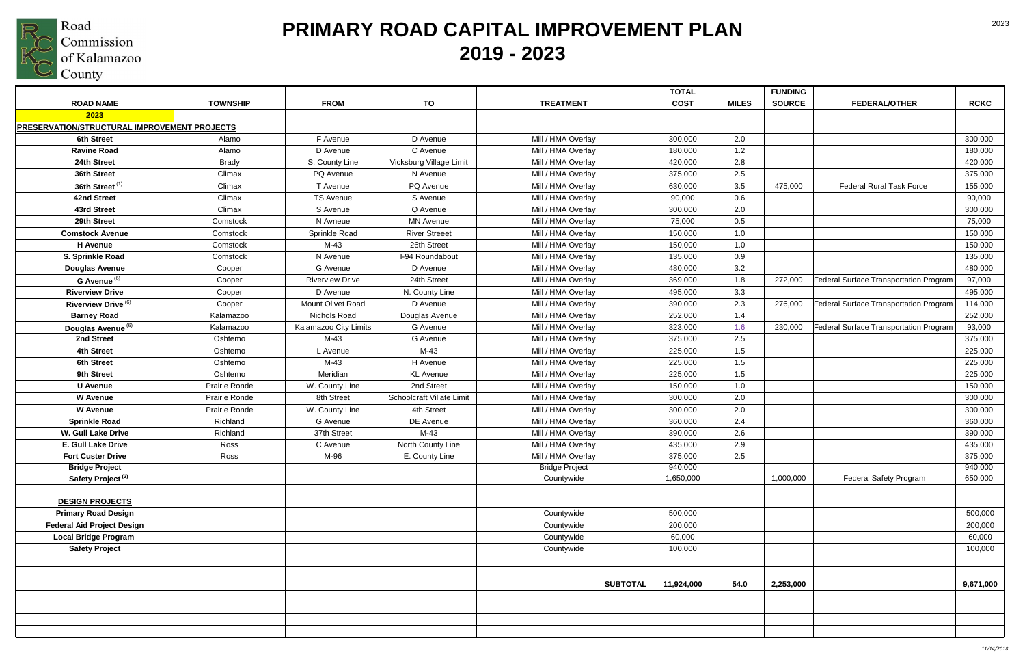

|                                              |                 |                        |                           |                       | <b>TOTAL</b> |              | <b>FUNDING</b> |                                               |             |
|----------------------------------------------|-----------------|------------------------|---------------------------|-----------------------|--------------|--------------|----------------|-----------------------------------------------|-------------|
| <b>ROAD NAME</b>                             | <b>TOWNSHIP</b> | <b>FROM</b>            | TO                        | <b>TREATMENT</b>      | <b>COST</b>  | <b>MILES</b> | <b>SOURCE</b>  | <b>FEDERAL/OTHER</b>                          | <b>RCKC</b> |
| 2023                                         |                 |                        |                           |                       |              |              |                |                                               |             |
| PRESERVATION/STRUCTURAL IMPROVEMENT PROJECTS |                 |                        |                           |                       |              |              |                |                                               |             |
| 6th Street                                   | Alamo           | F Avenue               | D Avenue                  | Mill / HMA Overlay    | 300,000      | 2.0          |                |                                               | 300,000     |
| <b>Ravine Road</b>                           | Alamo           | D Avenue               | C Avenue                  | Mill / HMA Overlay    | 180,000      | 1.2          |                |                                               | 180,000     |
| 24th Street                                  | <b>Brady</b>    | S. County Line         | Vicksburg Village Limit   | Mill / HMA Overlay    | 420,000      | 2.8          |                |                                               | 420,000     |
| 36th Street                                  | Climax          | PQ Avenue              | N Avenue                  | Mill / HMA Overlay    | 375,000      | 2.5          |                |                                               | 375,000     |
| 36th Street <sup>(1)</sup>                   | Climax          | T Avenue               | PQ Avenue                 | Mill / HMA Overlay    | 630,000      | 3.5          | 475,000        | <b>Federal Rural Task Force</b>               | 155,000     |
| 42nd Street                                  | Climax          | <b>TS Avenue</b>       | S Avenue                  | Mill / HMA Overlay    | 90,000       | 0.6          |                |                                               | 90,000      |
| 43rd Street                                  | Climax          | S Avenue               | Q Avenue                  | Mill / HMA Overlay    | 300,000      | 2.0          |                |                                               | 300,000     |
| 29th Street                                  | Comstock        | N Avneue               | <b>MN Avenue</b>          | Mill / HMA Overlay    | 75,000       | 0.5          |                |                                               | 75,000      |
| <b>Comstock Avenue</b>                       | Comstock        | Sprinkle Road          | <b>River Streeet</b>      | Mill / HMA Overlay    | 150,000      | 1.0          |                |                                               | 150,000     |
| <b>H</b> Avenue                              | Comstock        | $M-43$                 | 26th Street               | Mill / HMA Overlay    | 150,000      | 1.0          |                |                                               | 150,000     |
| S. Sprinkle Road                             | Comstock        | N Avenue               | I-94 Roundabout           | Mill / HMA Overlay    | 135,000      | 0.9          |                |                                               | 135,000     |
| <b>Douglas Avenue</b>                        | Cooper          | G Avenue               | D Avenue                  | Mill / HMA Overlay    | 480,000      | 3.2          |                |                                               | 480,000     |
| G Avenue <sup>(6)</sup>                      | Cooper          | <b>Riverview Drive</b> | 24th Street               | Mill / HMA Overlay    | 369,000      | 1.8          | 272,000        | <b>Federal Surface Transportation Program</b> | 97,000      |
| <b>Riverview Drive</b>                       | Cooper          | D Avenue               | N. County Line            | Mill / HMA Overlay    | 495,000      | 3.3          |                |                                               | 495,000     |
| Riverview Drive <sup>(6)</sup>               | Cooper          | Mount Olivet Road      | D Avenue                  | Mill / HMA Overlay    | 390,000      | 2.3          | 276,000        | Federal Surface Transportation Program        | 114,000     |
| <b>Barney Road</b>                           | Kalamazoo       | Nichols Road           | Douglas Avenue            | Mill / HMA Overlay    | 252,000      | 1.4          |                |                                               | 252,000     |
| Douglas Avenue <sup>(6)</sup>                | Kalamazoo       | Kalamazoo City Limits  | G Avenue                  | Mill / HMA Overlay    | 323,000      | 1.6          | 230,000        | Federal Surface Transportation Program        | 93,000      |
| 2nd Street                                   | Oshtemo         | $M-43$                 | G Avenue                  | Mill / HMA Overlay    | 375,000      | 2.5          |                |                                               | 375,000     |
| 4th Street                                   | Oshtemo         | L Avenue               | $M-43$                    | Mill / HMA Overlay    | 225,000      | 1.5          |                |                                               | 225,000     |
| 6th Street                                   | Oshtemo         | $M-43$                 | H Avenue                  | Mill / HMA Overlay    | 225,000      | 1.5          |                |                                               | 225,000     |
| 9th Street                                   | Oshtemo         | Meridian               | <b>KL</b> Avenue          | Mill / HMA Overlay    | 225,000      | 1.5          |                |                                               | 225,000     |
| <b>U</b> Avenue                              | Prairie Ronde   | W. County Line         | 2nd Street                | Mill / HMA Overlay    | 150,000      | 1.0          |                |                                               | 150,000     |
| <b>W</b> Avenue                              | Prairie Ronde   | 8th Street             | Schoolcraft Villate Limit | Mill / HMA Overlay    | 300,000      | 2.0          |                |                                               | 300,000     |
| <b>W</b> Avenue                              | Prairie Ronde   | W. County Line         | 4th Street                | Mill / HMA Overlay    | 300,000      | 2.0          |                |                                               | 300,000     |
| <b>Sprinkle Road</b>                         | Richland        | G Avenue               | DE Avenue                 | Mill / HMA Overlay    | 360,000      | 2.4          |                |                                               | 360,000     |
| <b>W. Gull Lake Drive</b>                    | Richland        | 37th Street            | $M-43$                    | Mill / HMA Overlay    | 390,000      | 2.6          |                |                                               | 390,000     |
| <b>E. Gull Lake Drive</b>                    | Ross            | C Avenue               | North County Line         | Mill / HMA Overlay    | 435,000      | 2.9          |                |                                               | 435,000     |
| <b>Fort Custer Drive</b>                     | Ross            | M-96                   | E. County Line            | Mill / HMA Overlay    | 375,000      | 2.5          |                |                                               | 375,000     |
| <b>Bridge Project</b>                        |                 |                        |                           | <b>Bridge Project</b> | 940,000      |              |                |                                               | 940,000     |
| Safety Project <sup>(2)</sup>                |                 |                        |                           | Countywide            | 1,650,000    |              | 1,000,000      | <b>Federal Safety Program</b>                 | 650,000     |
|                                              |                 |                        |                           |                       |              |              |                |                                               |             |
| <b>DESIGN PROJECTS</b>                       |                 |                        |                           |                       |              |              |                |                                               |             |
| <b>Primary Road Design</b>                   |                 |                        |                           | Countywide            | 500,000      |              |                |                                               | 500,000     |
| <b>Federal Aid Project Design</b>            |                 |                        |                           | Countywide            | 200,000      |              |                |                                               | 200,000     |
| <b>Local Bridge Program</b>                  |                 |                        |                           | Countywide            | 60,000       |              |                |                                               | 60,000      |
| <b>Safety Project</b>                        |                 |                        |                           | Countywide            | 100,000      |              |                |                                               | 100,000     |
|                                              |                 |                        |                           |                       |              |              |                |                                               |             |
|                                              |                 |                        |                           |                       |              |              |                |                                               |             |
|                                              |                 |                        |                           | <b>SUBTOTAL</b>       | 11,924,000   | 54.0         | 2,253,000      |                                               | 9,671,000   |
|                                              |                 |                        |                           |                       |              |              |                |                                               |             |
|                                              |                 |                        |                           |                       |              |              |                |                                               |             |
|                                              |                 |                        |                           |                       |              |              |                |                                               |             |
|                                              |                 |                        |                           |                       |              |              |                |                                               |             |